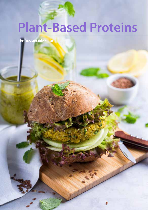# **Plant-Based Proteins**

The Sustainable Future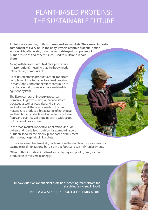# PLANT-BASED PROTEINS: THE SUSTAINABLE FUTURE

**Proteins are essential, both in human and animal diets. They are an important component of every cell in the body. Proteins contain essential amino acids which, after water, form the second-largest component of human muscles and other tissues, used to build and repair them.** 

Along with fats and carbohydrates, protein is a "macronutrient," meaning that the body needs relatively large amounts of it.

Plant-based protein products are an important complement or alternative to animal proteins in many foods, and can therefore contribute to the global effort to create a more sustainable agri-food system.

The European starch industry processes primarily EU-grown maize, wheat and starch potatoes as well as peas, rice and barley, and valorises all the components of the raw materials, to produce a broad range of innovative and traditional products and ingredients, but also fibres and plant-based proteins with a wide scope of functionalities and uses.

In the food market, innovative applications include bakery and specialised nutrition for example in sport nutrition, food for the elderly, plant-based drinks, meat alternatives, hospitals' clinical diets.

In the specialised feed markets, proteins from the starch industry are used for example in salmon rations, but also in pet foods and calf milk replacements.

Other outlets include animal feed for cattle, pig and poultry feed, for the production of milk, meat, or eggs.

Still have questions about plant proteins or other ingredients from the starch industry used in food? VISIT WWW.STARCHINFOOD.EU TO LEARN MORE.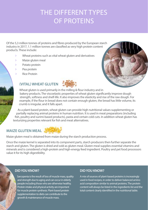# THE DIFFERENT TYPES OF PROTEINS

Of the 5,3 million tonnes of proteins and fibres produced by the European starch industry in 2017, 1.1 million tonnes are classified as very high protein content products. These include:

- $\triangleright$  Wheat proteins such as vital wheat gluten and derivatives
- > Maize gluten meal
- > Potato protein
- $\angle$  Pea protein
- ö Rice Protein

### **(VITAL) WHEAT GLUTEN**





Wheat gluten is used primarily in the milling & flour industry and in bakery products. The viscoelastic properties of wheat gluten significantly improve dough strength, softness and shelf-life. It also improves the elasticity and rise of the raw dough. For example, if the flour in bread does not contain enough gluten, the bread has little volume, its crumb is irregular, and it falls apart.

As a plant-based protein, wheat gluten can provide high nutritional values supplementing or partially replacing animal proteins in human nutrition. It is used in meat preparations (including fish, poultry and surimi-based products), pasta and certain cold cuts. In addition wheat gluten has texturizing properties relevant for fish and meat alternatives.

#### **MAIZE GLUTEN MEAL**



Maize gluten meal is obtained from maize during the starch production process.

Once the maize kernel is separated into its component parts, starch producers then further separate the starch and gluten. The gluten is dried and sold as gluten meal. Gluten meal supplies essential vitamins and minerals and is considered a high-protein and high-energy feed ingredient. Poultry and pet food processors value it for its high digestibility.

#### **DID YOU KNOW?**

Sarcopenia is the result of loss of muscle mass, quality and strength due to aging and can occur in elderly people including those who are otherwise healthy. Protein intake and physical activity are important for muscle protein synthesis. Plant-based protein supplementation to diets can contribute to the growth & maintenance of muscle mass.

#### **DID YOU KNOW?**

A mix of sources of plant-based proteins is increasingly used in food recipes, in order to deliver balanced amino acid composition similar to animal proteins. The protein content will always be listed in the ingredients list and the total content clearly identified in the nutritional table.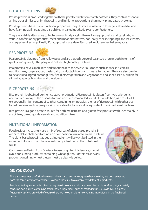#### **POTATO PROTEINS**



Potato protein is produced together with the potato starch from starch potatoes. They contain essential amino acids similar to animal proteins, and in higher proportions than many plant-based proteins.

Potato proteins have many functional properties. They dissolve in water and form gels, absorb fat and have foaming abilities adding air bubbles in baked goods, dairy and confectionery.

They are a viable alternative to high-value animal proteins like milk or egg proteins and caseinate, in various confectionery products, meat and meat-alternatives, non-dairy cheese, toppings and ice creams, and egg-free dressings. Finally, Potato proteins are also often used in gluten-free bakery goods.

#### **PEA PROTEINS**



Pea protein is obtained from yellow peas and are a good source of balanced protein both in terms of quality and quantity. The pea pulse delivers high quality proteins.

Pea proteins have capabilities and functionalities to serve various foods such as snacks & cereals, nutrition bars, soups, sauces, pasta, dairy products, biscuits and meat alternatives. They are also proving to be a valued ingredient for gluten-free diets, vegetarian and vegan foods and specialised nutrition for slimming, sports, hospitals and the elderly.

### **RICE PROTEINS**



Rice protein is obtained during rice starch production. Rice protein is gluten-free, hypo-allergenic and contains many of the essential amino acids recommended for adults. In addition, as a result of its exceptionally high content of sulphur-containing amino acids, blends of rice protein with other plantbased proteins, such as pea proteins, provide a biological value equivalent to animal-based proteins.

Rice protein is a good protein source for both mainstream and gluten-free products with uses mainly in snack bars, baked goods, cereals and nutrition mixes.

#### **NUTRITIONAL INFORMATION**

Food recipes increasingly use a mix of sources of plant-based proteins in order to deliver balanced amino acid composition similar to animal proteins. The plant-based proteins added as ingredients will always be listed in the ingredients list and the total content clearly identified in the nutritional table.

Consumers suffering from Coeliac disease, or gluten intolerance, should avoid consuming products containing wheat gluten. For this reason, any product containing wheat gluten must be clearly labelled.



#### **DID YOU KNOW?**

There is sometimes confusion between wheat starch and wheat gluten because they are both extracted from the same raw material: wheat. However, these are two completely different ingredients.

People suffering from coeliac disease or gluten intolerance, who are prescribed a gluten-free diet, can safely consume non-gluten-containing starch-based ingredients such as maltodextrins, glucose syrup, glucosefructose syrups etc, provided of course there are no other gluten-containing ingredients in the final food product.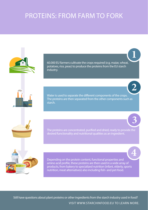### STAR COMP  $\sum$ TERNS, THOM TAHWETO TONN PROTEINS: FROM FARM TO FORK



60.000 EU farmers cultivate the crops required (e.g. maize, wheat, potatoes, rice, peas) to produce the proteins from the EU starch industry.

**1**

**2**

**3**

Water is used to separate the different components of the crops. The proteins are then separated from the other components such as starch.

desired functionality and nutritional qualities as an ingredient.



Depending on the protein content, functional properties and amino acid profile, these proteins are then used in a wide array of products, from bakery to specialized nutrition (infant, elderly, sports nutrition, meat alternatives) also including fish- and pet-food. **4**

Still have questions about plant proteins or other ingredients from the starch industry used in food? VISIT WWW.STARCHINFOOD.EU TO LEARN MORE.